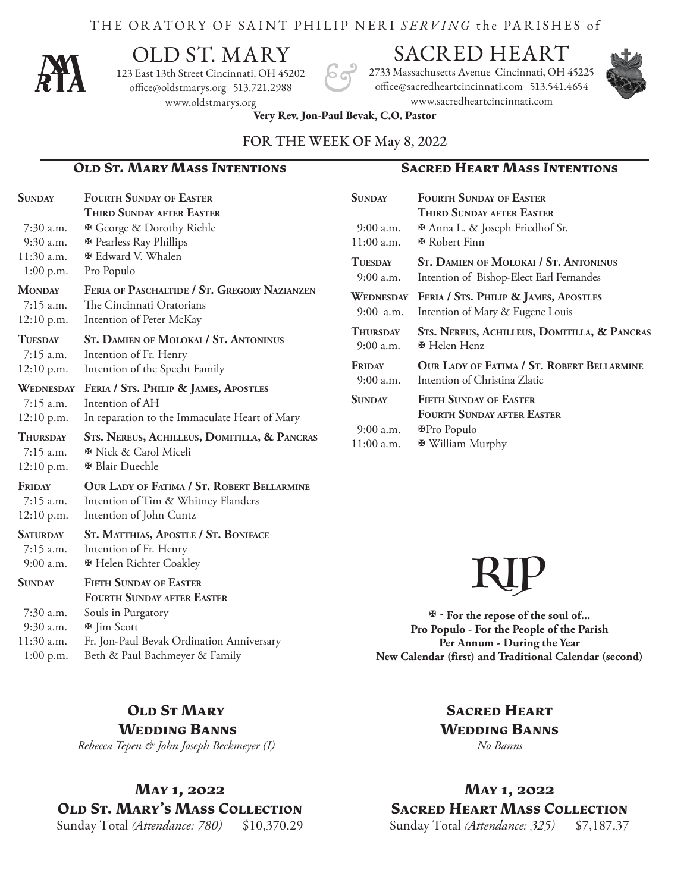#### THE ORATORY OF SAINT PHILIP NERI *SERVING* the PA R ISHES of



# OLD ST. MARY

123 East 13th Street Cincinnati, OH 45202 office@oldstmarys.org 513.721.2988 www.oldstmarys.org

# SACRED HEART

2733 Massachusetts Avenue Cincinnati, OH 45225 office@sacredheartcincinnati.com 513.541.4654 www.sacredheartcincinnati.com

**Sunday Fourth Sunday of Easter**

11:00 a.m. **E** Robert Finn

9:00 a.m. **E** Helen Henz

9:00 a.m. **P**ro Populo 11:00 a.m.  $\blacksquare$  William Murphy

 9:00 a.m. Intention of Christina Zlatic **Sunday Fifth Sunday of Easter**

9:00 a.m. **A** Anna L. & Joseph Friedhof Sr.



**Very Rev. Jon-Paul Bevak, C.O. Pastor** 

#### FOR THE WEEK OF May 8, 2022

#### **Old St. Mary Mass Intentions Sacred Heart Mass Intentions**

 **Third Sunday after Easter**

**Tuesday St. Damien of Molokai / St. Antoninus** 9:00 a.m. Intention of Bishop-Elect Earl Fernandes **Wednesday Feria / Sts. Philip & James, Apostles** 9:00 a.m. Intention of Mary & Eugene Louis

**Thursday Sts. Nereus, Achilleus, Domitilla, & Pancras**

**Friday Our Lady of Fatima / St. Robert Bellarmine**

**Fourth Sunday after Easter**

| <b>SUNDAY</b>    | <b>FOURTH SUNDAY OF EASTER</b>                                  |
|------------------|-----------------------------------------------------------------|
|                  | THIRD SUNDAY AFTER EASTER                                       |
| $7:30$ a.m.      | <b>※ George &amp; Dorothy Riehle</b>                            |
| $9:30$ a.m.      | <b>※</b> Pearless Ray Phillips                                  |
| $11:30$ a.m.     | <b><math>\Phi</math></b> Edward V. Whalen                       |
| $1:00$ p.m.      | Pro Populo                                                      |
| <b>MONDAY</b>    | FERIA OF PASCHALTIDE / ST. GREGORY NAZIANZEN                    |
| 7:15 a.m.        | The Cincinnati Oratorians                                       |
| $12:10$ p.m.     | Intention of Peter McKay                                        |
| <b>TUESDAY</b>   | <b>ST. DAMIEN OF MOLOKAI / ST. ANTONINUS</b>                    |
| $7:15$ a.m.      | Intention of Fr. Henry                                          |
| $12:10$ p.m.     | Intention of the Specht Family                                  |
| <b>WEDNESDAY</b> | FERIA / STS. PHILIP & JAMES, APOSTLES                           |
| 7:15 a.m.        | Intention of AH                                                 |
| 12:10 p.m.       | In reparation to the Immaculate Heart of Mary                   |
| <b>THURSDAY</b>  | STS. NEREUS, ACHILLEUS, DOMITILLA, & PANCRAS                    |
| $7:15$ a.m.      | <b><math>\Phi</math></b> Nick & Carol Miceli                    |
| 12:10 p.m.       | <b>※ Blair Duechle</b>                                          |
| FRIDAY           | OUR LADY OF FATIMA / ST. ROBERT BELLARMINE                      |
| $7:15$ a.m.      | Intention of Tim & Whitney Flanders                             |
| 12:10 p.m.       | Intention of John Cuntz                                         |
| <b>SATURDAY</b>  | ST. MATTHIAS, APOSTLE / ST. BONIFACE                            |
| $7:15$ a.m.      | Intention of Fr. Henry                                          |
| $9:00$ a.m.      | <b><math>\overline{\mathbf{H}}</math> Helen Richter Coakley</b> |
| <b>SUNDAY</b>    | <b>FIFTH SUNDAY OF EASTER</b>                                   |
|                  | <b>FOURTH SUNDAY AFTER EASTER</b>                               |
| $7:30$ a.m.      | Souls in Purgatory                                              |
| $9:30$ a.m.      | <b>图 Jim Scott</b>                                              |
| $11:30$ a.m.     | Fr. Jon-Paul Bevak Ordination Anniversary                       |
| $1:00$ p.m.      | Beth & Paul Bachmeyer & Family                                  |

# RIP

 **- For the repose of the soul of... Pro Populo - For the People of the Parish Per Annum - During the Year New Calendar (first) and Traditional Calendar (second)**

#### **Old St Mary Wedding Banns**

*Rebecca Tepen & John Joseph Beckmeyer (I)*

# **May 1, 2022 Old St. Mary's Mass Collection**

Sunday Total (Attendance: 780) \$10,370.29

# **Sacred Heart Wedding Banns**

*No Banns*

# **May 1, 2022 Sacred Heart Mass Collection**

Sunday Total *(Attendance: 325)* \$7,187.37